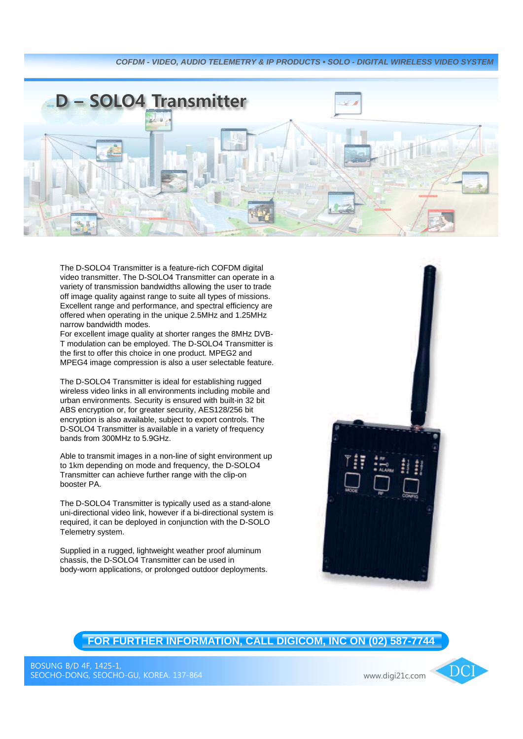

The D-SOLO4 Transmitter is a feature-rich COFDM digital video transmitter. The D-SOLO4 Transmitter can operate in a variety of transmission bandwidths allowing the user to trade off image quality against range to suite all types of missions. Excellent range and performance, and spectral efficiency are offered when operating in the unique 2.5MHz and 1.25MHz narrow bandwidth modes.

For excellent image quality at shorter ranges the 8MHz DVB-T modulation can be employed. The D-SOLO4 Transmitter is the first to offer this choice in one product. MPEG2 and MPEG4 image compression is also a user selectable feature.

The D-SOLO4 Transmitter is ideal for establishing rugged wireless video links in all environments including mobile and urban environments. Security is ensured with built-in 32 bit ABS encryption or, for greater security, AES128/256 bit encryption is also available, subject to export controls. The D-SOLO4 Transmitter is available in a variety of frequency bands from 300MHz to 5.9GHz.

Able to transmit images in a non-line of sight environment up to 1km depending on mode and frequency, the D-SOLO4 Transmitter can achieve further range with the clip-on booster PA.

The D-SOLO4 Transmitter is typically used as a stand-alone uni-directional video link, however if a bi-directional system is required, it can be deployed in conjunction with the D-SOLO Telemetry system.

Supplied in a rugged, lightweight weather proof aluminum chassis, the D-SOLO4 Transmitter can be used in body-worn applications, or prolonged outdoor deployments.



**FOR FURTHER INFORMATION, CALL DIGICOM, INC ON (02) 587-7744**

DCI